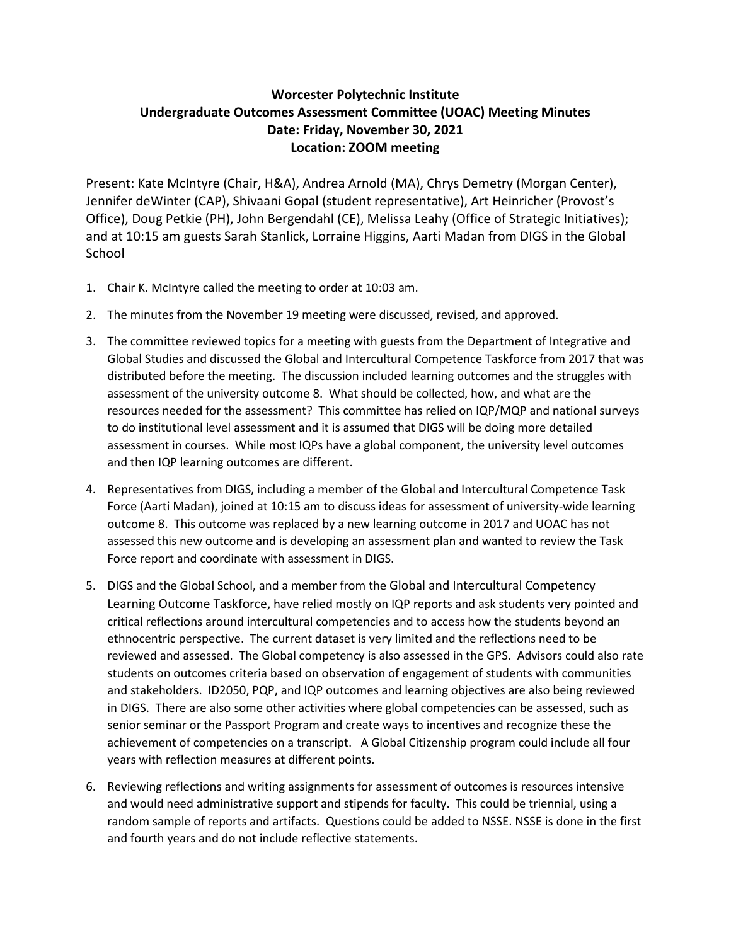## **Worcester Polytechnic Institute Undergraduate Outcomes Assessment Committee (UOAC) Meeting Minutes Date: Friday, November 30, 2021 Location: ZOOM meeting**

Present: Kate McIntyre (Chair, H&A), Andrea Arnold (MA), Chrys Demetry (Morgan Center), Jennifer deWinter (CAP), Shivaani Gopal (student representative), Art Heinricher (Provost's Office), Doug Petkie (PH), John Bergendahl (CE), Melissa Leahy (Office of Strategic Initiatives); and at 10:15 am guests Sarah Stanlick, Lorraine Higgins, Aarti Madan from DIGS in the Global **School** 

- 1. Chair K. McIntyre called the meeting to order at 10:03 am.
- 2. The minutes from the November 19 meeting were discussed, revised, and approved.
- 3. The committee reviewed topics for a meeting with guests from the Department of Integrative and Global Studies and discussed the Global and Intercultural Competence Taskforce from 2017 that was distributed before the meeting. The discussion included learning outcomes and the struggles with assessment of the university outcome 8. What should be collected, how, and what are the resources needed for the assessment? This committee has relied on IQP/MQP and national surveys to do institutional level assessment and it is assumed that DIGS will be doing more detailed assessment in courses. While most IQPs have a global component, the university level outcomes and then IQP learning outcomes are different.
- 4. Representatives from DIGS, including a member of the Global and Intercultural Competence Task Force (Aarti Madan), joined at 10:15 am to discuss ideas for assessment of university-wide learning outcome 8. This outcome was replaced by a new learning outcome in 2017 and UOAC has not assessed this new outcome and is developing an assessment plan and wanted to review the Task Force report and coordinate with assessment in DIGS.
- 5. DIGS and the Global School, and a member from the Global and Intercultural Competency Learning Outcome Taskforce, have relied mostly on IQP reports and ask students very pointed and critical reflections around intercultural competencies and to access how the students beyond an ethnocentric perspective. The current dataset is very limited and the reflections need to be reviewed and assessed. The Global competency is also assessed in the GPS. Advisors could also rate students on outcomes criteria based on observation of engagement of students with communities and stakeholders. ID2050, PQP, and IQP outcomes and learning objectives are also being reviewed in DIGS. There are also some other activities where global competencies can be assessed, such as senior seminar or the Passport Program and create ways to incentives and recognize these the achievement of competencies on a transcript. A Global Citizenship program could include all four years with reflection measures at different points.
- 6. Reviewing reflections and writing assignments for assessment of outcomes is resources intensive and would need administrative support and stipends for faculty. This could be triennial, using a random sample of reports and artifacts. Questions could be added to NSSE. NSSE is done in the first and fourth years and do not include reflective statements.